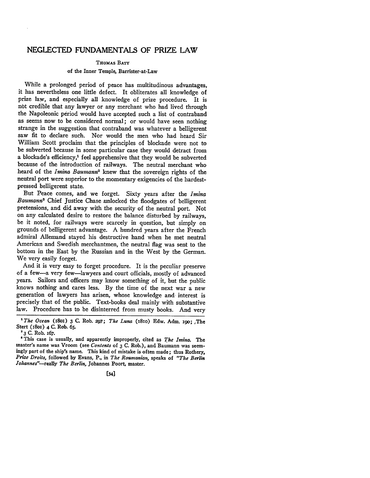## **NEGLECTED FUNDAMENTALS** OF **PRIZE** LAW

## **THOMAS BATY**

## of the Inner Temple, Barrister-at-Law

While a prolonged period of peace has multitudinous advantages, it has nevertheless one little defect. It obliterates all knowledge of prize law, and especially all knowledge of prize procedure. It is **nbt** credible that any lawyer or any merchant who had lived through the Napoleonic period would have accepted such a list of contraband as seems now to be considered normal; or would have seen nothing strange in the suggestion that contraband was whatever a belligerent saw fit to declare such. Nor would the men who had heard Sir William Scott proclaim that the principles of blockade were not to be subverted because in some particular case they would detract from a blockade's efficiency, $1$  feel apprehensive that they would be subverted because of the introduction of railways. The neutral merchant who heard of the *Imina Baumann2* knew that the sovereign rights of the neutral port were superior to the momentary exigencies of the hardestpressed belligerent state.

But Peace comes, and we forget. Sixty years after the *Imina* Baumann<sup>3</sup> Chief Justice Chase unlocked the floodgates of belligerent pretensions, and did away with the security of the neutral port. Not on any calculated desire to restore the balance disturbed by railways, be it noted, for railways were scarcely in question, but simply on grounds of belligerent advantage. **A** hundred years after the French admiral Allemand stayed his destructive hand when he met neutral American and Swedish merchantmen, the neutral flag was sent to the bottom in the East by the Russian and in the West by the German. We very easily forget.

And it is very easy to forget procedure. It is the peculiar preserve of a few-a very few-lawyers and court officials, mostly of advanced years. Sailors and officers may know something of it, but the public knows nothing and cares less. By the time of the next war a new generation of lawyers has arisen, whose knowledge and, interest is precisely that of the public. Text-books deal mainly with substantive law. Procedure has to be disinterred from musty books. And very

*<sup>&#</sup>x27;The Ocean* **(iS8oi) 3 C.** Rob. **297;** *The Luna* (i8Io) Edw. Adm. i9o; ,The **Stert** (i8ox) 4 **C.** Rob. **65.**

<sup>&</sup>lt;sup>2</sup> 3 C. Rob. 167.<br><sup>\*</sup> This case is usually, and apparently improperly, cited as *The Imina*. The master's name was Vroom (see *Contents* of 3 C. Rob.), and Baumann was seem-<br>ingly part of the ship's name. This kind of mistake is often made; thus Rothery, *Prize Droits,* followed **by** Evans, P, in *The Roumanian,* speaks of *"The Berlin .Tohannes"-really The Berlin,* Johannes Poort, master.

 $[34]$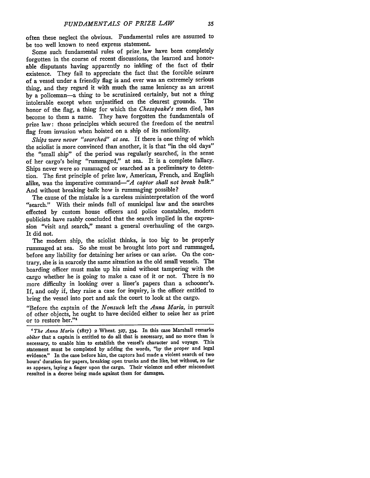often these neglect the obvious. Fundamental rules are assumed to be too well known to need express statement.

Some such fundamental rules of prize, law have been completely forgotten in the course of recent discussions, the learned and honorable disputants having apparently no inkling of the fact of their existence. They fail to appreciate the fact that the forcible seizure of a vessel under a friendly flag is and ever was an extremely serious thing, and they regard it with much the same leniency as an arrest **by** a policeman-a thing to be scrutinized certainly, but not a thing intolerable except when unjustified on the clearest grounds. The honor of the flag, a thing for which the *Chesapeake's* men died, has become to them a name. They have forgotten the fundamentals of prize law: those principles which secured the freedom of the neutral flag from invasion when hoisted on a ship of its nationality.

*Ships were never "searched" at sea.* If there is one thing **of** which the sciolist is more convinced than another, it is that "in the old days" the "small ship" of the period was regularly searched, in the sense of her cargo's being "rummaged," at sea. It is a complete fallacy. Ships never were so rummaged or searched as a preliminary to detention. The first principle of prize law, American, French, and English alike, was the imperative command-"A captor shall not break bulk." And without breaking bulk how is rummaging possible?

The cause of the mistake is a careless misinterpretation of the word "search." With their minds full of municipal law and the searches effected **by** custom house officers and police constables, modern publicists have rashly concluded that the search implied in the expression "visit and search," meant a general overhauling of the cargo. It did not.

The modem ship, the sciolist thinks, is too big to be properly rummaged at sea. So she must be brought into port and rummaged, before any liability for detaining her arises or can arise. On the contrary, she is in scarcely the same situation as the old small vessels. The boarding officer must make up his mind without tampering with the cargo whether he is going to make a case of it or not. There is no more difficulty in looking over a liner's papers than a schooner's. If, and only if, they raise a case for inquiry, is the officer entitled to bring the vessel into port and ask the court to look at the cargo.

"Before the captain of the *Nonsuch* left the *Anna Maria,* in pursuit of other objects, he ought to have decided either to seize her as prize or to restore her."<sup>4</sup>

*<sup>&#</sup>x27;The Anna Maria* (1817) *2* Wheat. **327, 334.** In this case Marshall remarks *obiter* that a captain is entitled to do all that is necessary, and no more than is necessary, to enable him to establish the vessel's character and voyage This statement must be completed **by** adding the words, **"by** the proper and legal evidence." In the case before him, the captors had made a violent search of two hours' duration for papers, breaking open trunks and the like, but without, so far as appears, laying a finger upon the cargo. Their violence and other misconduct resulted in a decree being made against them for damages.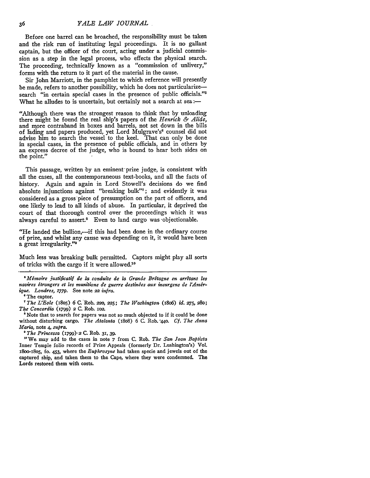Before one barrel can be broached, the responsibility must be taken and the risk run of instituting legal proceedings. It is no gallant captain, but the officer of the court, acting under a judicial commission as a step in the legal process, who effects the physical search. The proceeding, technically known as a "commission of unlivery," forms with the return to it part of the material in the cause.

Sir John Marriott, in the pamphlet to which reference will presently be made, refers to another possibility, which he does not particularize-search "in certain special cases in the presence of public officials."<sup>5</sup> What he alludes to is uncertain, but certainly not a search at sea :-

"Although there was the strongest reason to think that by unloading there might be found the real ship's papers of the *Henrick & Alide,* and more contraband in boxes and barrels, not set down in the bills of lading and papers produced, yet Lord Mulgrave's<sup>6</sup> counsel did not advise him to search the vessel to the keel. That can only be done in special cases, in the presence of public officials, and in others by an express decree of the judge, who is bound to hear both sides on the point."

This passage, written by an eminent prize judge, is consistent with all the cases, all the contemporaneous text-books, and all the facts of history. Again and again in Lord Stowell's decisions do we find absolute injunctions against "breaking bulk"<sup>7</sup>; and evidently it was considered as a gross'piece of presumption on the part of officers, and one likely to lead to all kinds of abuse. In particular, it deprived the court of that thorough control over the proceedings which it was always careful to assert.<sup>8</sup> Even to land cargo was objectionable.

"He landed the bullion,—if this had been done in the ordinary course of prize, and whilst any cause was depending on it, it would have been a great irregularity."9

Much less was breaking bulk permitted. Captors might play all sorts of tricks with the cargo if it were allowed.10

<sup>5</sup> Mémoire justificatif de la conduite de la Grande Brétagne en arrêtant les navires étrangers et les munitions de guerre destinées aux insurgens de l'Amér*ique. Londres,* **1779.** See note 22 *infra.*

The captor.

*'The L'Eole* (i8o5) 6 C.'Rob. 22o, **225;** *The Washington (i8o6) id.* **275, 280;** *The Concordia* (1799) 2 C. Rob. 102.

<sup>8</sup> Note that to search for papers was not so much objected to if it could be done without disturbing cargo. *The Atalanta* (i8o8) 6 C. Rob. "44o. **Cf.** *The Anna Maria,* note 4, supra.

*\*The Princessa* (1799)'2 **C.** Rob. **31, 39.**

"We. may add to the cases in note **7** from C. Rob. *The San Joan Bapista* Inner Temple folio records of Prize Appeals (formerly Dr. Lushington's) Vol. i8oo-i8o5, fo. 453, where the *Euphrosyne* had taken specie and jewels out of the captured ship, and taken them to the Cape, where they were condemned. The Lords restored them with costs.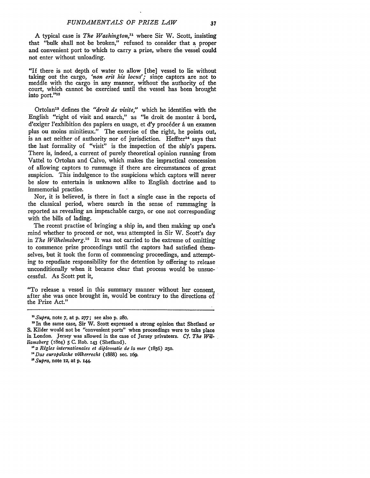A typical case is *The Washington,"* where Sir W. Scott, insisting that "bulk shall not be broken," refused to consider that a proper and convenient port to which to carry a prize, where the vessel could not enter without unloading.

"If there is not depth of water to allow [the] vessel to lie without taking out the cargo, 'non erit his locus'; since captors are not to meddle with the cargo in any manner, without the authority of the court, which cannot be exercised until the vessel has been brought into port."<sup>12</sup>

Ortolan<sup>13</sup> defines the "droit de visite," which he identifies with the English "right of visit and search," as "le droit de monter à bord, d'exiger l'exhibition des papiers en usage, et d'y procéder á un examen plus ou moins minitieux." The exercise of the right, he points out, is an act neither of authority nor of jurisdiction. Heffter<sup>14</sup> says that the last formality of "visit" is the inspection of the ship's papers. There is, indeed, a current of purely theoretical opinion running from Vattel to Ortolan and Calvo, which makes the impractical concession of allowing captors to rummage if there are circumstances of great suspicion. This indulgence to the suspicions which captors will never be slow to entertain is unknown alike to English doctrine and to immemorial practise.

Nor, it is believed, is there in fact a single case in the reports of the classical period, where search in the sense of rummaging is reported as revealing an impeachable cargo, or one not corresponding with the bills of lading.

The recent practise of bringing a ship in, and then making up one's mind whether to proceed or not, was attempted in Sir W. Scott's day in *The Wilhelmsberg*.<sup>15</sup> It was not carried to the extreme of omitting to commence prize proceedings until the captors had satisfied themselves, but it took the form of commencing proceedings, and attempting to repudiate responsibility for the detention by offering to release unconditionally when it became clear that process would be unsuccessful. As Scott put it,

"To release a vessel in this summary manner without her consent, after she was once brought in, would be contrary to the directions of the Prize Act."

*" Supra,* note **12,** at **p. 144.**

*<sup>&#</sup>x27;Supra,* note 7, at p. *277;* see also **p. 280.**

**<sup>&</sup>quot;In** the same case, Sir W. Scott expressed a strong opinion that Shetland or S. Kilder would not be "convenient ports" when proceedings were to take place in London. Jersey was allowed in the case of Jersey privateers. *Cf. The Wil-*

<sup>&</sup>lt;sup>15</sup> 2 Régles internationales et diplomatie de la mer (1856) 250.

*<sup>&</sup>quot;Das europaische vilkerrecht* (1888) sec. i69.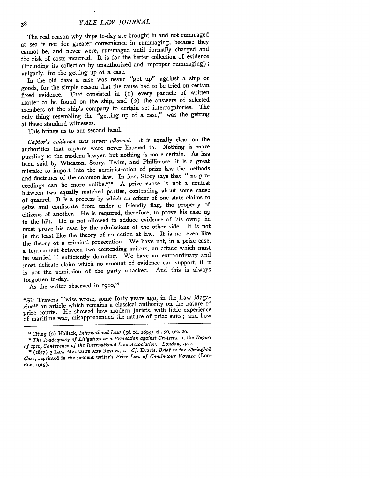The real reason why ships to-day are brought in and not rummaged at sea is not for greater convenience in rummaging, because they cannot be, and never were, rummaged until formally charged and the risk of costs incurred. It is for the better collection of evidence (including its collection by unauthorized and improper rummaging); vulgarly, for the getting up of a case.

In the old days a case was never "got up" against a ship or goods, for the simple reason that the cause had to be tried on certain fixed evidence. That consisted in (i) every particle of written matter to be found on the ship, and (2) the answers of selected members of the ship's company to certain set interrogatories. The only thing resembling the "getting up of a case," was the getting at these standard witnesses.

This brings us to our second head.

*Captor's evidence was never allowed.* It is equally clear on the authorities that captors were never listened to. Nothing is more puzzling to the modern lawyer, but nothing is more certain. As has been said by Wheaton, Story, Twiss, and Phillimore, it is a great mistake to import into the administration of prize law the methods and doctrines of the common law. In fact, Story says that " no proceedings can be more unlike."<sup>16</sup> A prize cause is not a contest between two equally matched parties, contending about some cause of quarrel. It is a process by which an officer of one state claims to seize and confiscate from under a friendly flag, the property of citizens of another. He is required, therefore, to prove his case up to the hilt. He is not allowed to adduce evidence of his own; he must prove his case by the admissions of the other side. It is not in the least like the theory of an action at law. It is- not even like the theory of a criminal prosecution. We have not, in a prize case, a tournament between two contending suitors, an attack which must be parried if sufficiently damning. We have an extraordinary and most delicate claim which no amount of evidence can support, if it is not the admission of the party attacked. And this is always forgotten to-day.

As the writer observed in **I9IO,1**

"Sir Travers Twiss wrote, some forty years ago, in the Law Magazine<sup>18</sup> an article which remains a classical authority on the nature of prize courts. He showed how modern jurists, with little experience of maritime war, misapprehended the nature of prize suits; and how

**<sup>&</sup>quot;** Citing *(2)* Halleck, *International Law* **(3d** ed. 1893) ch. *32,* sec. **2o.**

<sup>&</sup>lt;sup>17</sup> The Inadequacy of Litigation as a Protection against Cruisers, in the Report *of gzp, Conference of the rnternational Law Association. London, 191r.*

<sup>(1877)</sup> **3** LAW MAGAZINE AxD **REvmW, i.** *Cf.* Evarts. *Brief in the Springbok Case,* reprinted in the present writer's *Prize Law of Continuous Voyage* (London, 1915).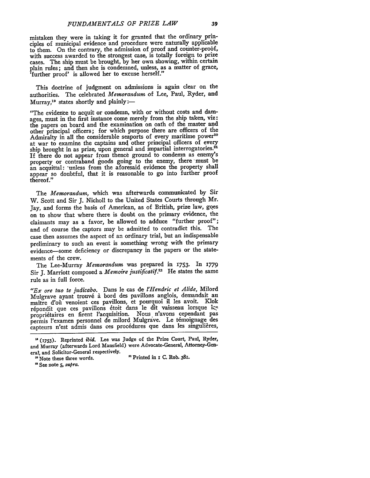mistaken they were in taking it for granted that the ordinary principles of municipal evidence and procedure were naturally applicable to them. On the contrary, the admission of proof and counter-probf, with success awarded to the strongest case, is totally foreign to prize cases. The ship must be brought, by her own showing, within certain plain rules; and then she is condemned, unless, as a matter of grace, 'further proof' is allowed her to excuse herself."

This doctrine of judgment on admissions is again clear on the authorities. The celebrated *Memorandum* of Lee, Paul, Ryder, and Murray,<sup>19</sup> states shortly and plainly:-

"The evidence to acquit or condemn, with or without costs and damages, must in the first instance come merely from the ship taken, viz: the papers on board and the examination on oath of the master and other principal officers; for which purpose there are officers of the Admiralty in all the considerable seaports of every maritime power<sup>20</sup> at war to examine the captains and other principal officers of every ship brought in as prize, upon general and impartial interrogatories.<sup>21</sup> If there do not appear from thence ground to condemn as enemy's property or contraband goods going to the enemy, there must be an acquittal: unless from the aforesaid evidence the property shall appear so doubtful, that it is reasonable to go into further proof thereof."

The *Memorandum,* which was afterwards communicated by Sir W. Scott and Sir J. Nicholl to the United States Courts through Mr. Jay, and forms the basis of American, as of British, prize law, goes on to show that where there is doubt on the primary evidence, the claimants may as a favor, be allowed to adduce "further proof"; and of course the captors may be admitted to contradict this. The case then assumes the aspect of an ordinary trial, but an indispensable preliminary to such an event is something wrong with the primary evidence-some deficiency or discrepancy in the papers or the statements of the crew.

The Lee-Murray *Memorandum* was prepared in 1753. In **<sup>1779</sup>** Sir J. Marriott composed a *Memoire justificatif*.<sup>22</sup> He states the same rule as in full force.

*"Ex ore tuo te judicabo.* Dans le cas de *t'Hendric et Alide,* Milord Mulgrave ayant trouvé à bord des pavillons anglois, demandait au maitre d'oii venoient ces pavilions, et pourquoi il les avoit. Klok répondit que ces pavillons étoit dans le dit vaisseau lorsque les propri6taires en firent l'acquisition. Nous n'avons cependant pas permis l'examen personnel de milord Mulgrave. Le témoignage des capteurs n'est admis dans ces procédures que dans les singulières,

<sup>&</sup>lt;sup>19</sup> (1753). Reprinted *ibid*. Lee was Judge of the Prize Court, Paul, Ryder, and Murray (afterwards Lord Mansfield) were Advocate-General, Attorney-Genera?, and Solicitor-General respectively.

<sup>&</sup>lt;sup>21</sup> Printed in I C. Rob. 381.

<sup>&</sup>quot;See note **5,** *supra.*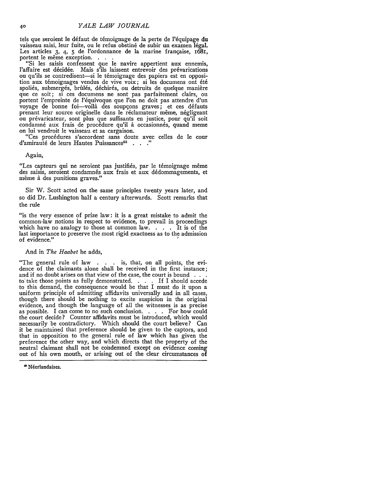tels que seroient le défaut de témoignage de la perte de l'équipage du vaisseau saisi, leur fuite, ou le refus obstiné de subir un examen légal. Les articles 3, 4, 5 de l'ordonnance de la marine franqaise, **I68I,** portent le même exception.

"Si les saisis confessent que le navire appertient aux ennemis, l'affaire est décidée. Mais s'ils laissent entrevoir des prévarications ou qu'ils se contredisent-si le témoignage des papiers est en opposition aux témoignages vendus de vive voix; si les documens ont été spoliés, submergés, brûlés, déchirés, ou detruits de quelque manière que ce soit; si ces documens ne sont pas parfaitement clairs, ou portent l'empreinte de l'6quivoque que l'on ne doit pas attendre d'un voyage de bonne foi-voilà des soupçons graves; et ces défauts prenant leur source originelle dans le réclamateur même, négligeant ou prévaricateur, sont plus que suffisants en justice, pour qu'il soit condamné aux frais de procédure qu'il à occasionnés, quand meme on lui vendroit le vaisseau et sa cargaison.

"Ces procedures s'accordent sans doute avec celles de le cour d'amirauté de leurs Hautes Puissances<sup>23</sup> . . . "

## Again,

"Les capteurs qui ne seroient pas justifiés, par le témoignage même des saisis, seroient condamnés aux frais et aux dédommagements, et même à des punitions graves.'

Sir W. Scott acted on the same principles twenty years later, and so did Dr. Lushington half a century afterwards. Scott remarks that the rule

"is the very essence of prize law: it is a great mistake to admit the common-law notions in respect to evidence, to prevail in proceedings which have no analogy to those at common law. **. . .** It is of the last importance to preserve the most rigid exactness as to the admission of evidence."

And in *The Haabet* he adds,

"The general rule of law . **. .** is, that, on all points, the evidence of the claimants alone shall be received in the first instance; and if no doubt arises on that view of the case, the court is bound ... and if no doubt arises on that view of the case, the court is bound **. . .** to take those points as fully demonstrated. **. . .** If I should accede to this demand, the consequence would be that I must do it upon a uniform principle of admitting affidavits universally and in all cases, though there should be nothing to excite suspicion in the original evidence, and though the language of all the witnesses is as precise as possible. I can come to no such conclusion. . **.** . For how could the court decide? Counter affidavits must be introduced, which would necessarily be contradictory. Which should the court believe? Can it be maintained that preference should be given to the captors, and that in opposition to the general rule of law which has given the preference the other way, and which directs that the property of the neutral claimant shall not be cohdemned except on evidence coming out of his own mouth, or arising out of the clear circumstances of

40

<sup>&</sup>lt;sup>28</sup> Néerlandaises.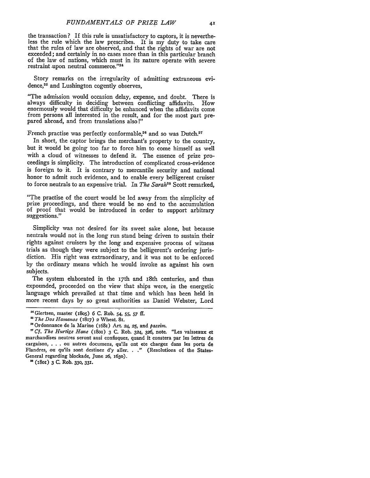the transaction? If this rule is unsatisfactory to captors, it is nevertheless the rule which the law prescribes. It is my duty to take care that the rules of law are observed, and that the rights of war are not exceeded; and certainly in no cases more than in this particular branch **of** the law of nations, which must in its nature operate with severe restraint upon neutral commerce."24

Story remarks on the irregularity of admitting extraneous evidence,<sup>25</sup> and Lushington cogently observes,

"The admission would occasion delay, expense, and doubt. There is always difficulty in deciding between conflicting affidavits. How enormously would that difficulty be enhanced when the affidavits come from persons all interested in the result, and for the most part pre- pared abroad, and from translations also !"

French practise was perfectly conformable,<sup>26</sup> and so was Dutch.<sup>27</sup>

In short, the captor brings the merchant's property to the country, but it would be going too far to force him to come himself as well with a cloud of witnesses to defend it. The essence of prize proceedings is simplicity. The introduction of complicated cross-evidence is foreign to it. It is contrary to mercantile security and national honor to admit such evidence, and to enable every belligerent cruiser to force neutrals to an expensive trial. In *The Sarah28* Scott remarked,

"The practise of the court would be led away from the simplicity of prize proceedings, and there would be no end to the accumulation of proof that would be introduced in order to support arbitrary suggestions."

Simplicity was not desired for its sweet sake alone, but because neutrals would not in the long run stand being driven to sustain their rights against cruisers by the long and expensive process of witness trials as though they were subject to the belligerent's ordering jurisdiction. His right was extraordinary, and it was not to be enforced by the ordinary means which he would invoke as against his own subjects.

The system elaborated in the 17th and i8th centuries, and thus expounded, proceeded on the view that ships were, in the energetic language which prevailed at that time and which has been held in more recent days by so great authorities as Daniel Webster, Lord

<sup>&</sup>quot;Giertsen, master (18o5) 6 **C.** Rob. 54, **55,** 57 if.

<sup>&</sup>lt;sup>25</sup> The Dos Hamanos (1817) 2 Wheat. 81.

<sup>&</sup>lt;sup>26</sup> Ordonnance de la Marine (1681) Art. 24, 25, and *passim*.

<sup>=</sup> *Cf. The Hurtige Hane* (I8oi) **3 C.** Rob. 324, **326,** note. "Les vaisseaux et marchandises neutres seront ausi confisquez, quand it constera par les lettres de cargaison, **. . . ou** autres documens, qu'ils ont ete chargez dans les ports de Flandres, ou qu'ils sont destinez **d'y** aller..." (Resolutions of the States-General regarding blockade, June **26, 163o). 'a (I8OI) 3 C.** Rob. 330, 331.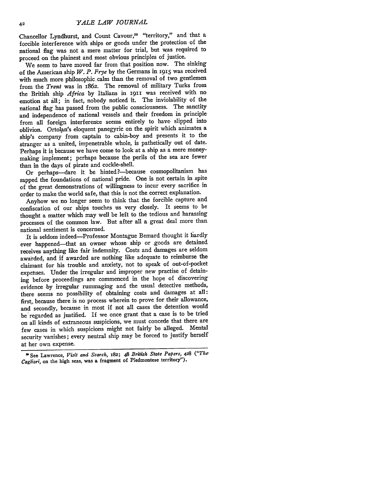Chancellor Lyndhurst, and Count Cavour,<sup>29</sup> "territory," and that a forcible interference with ships or goods under the protection of the national flag was not a mere matter for trial, but was required to proceed on the plainest and most obvious principles of justice.

We seem to have moved far from that position now. The sinking of the American ship *W. P. Frye* by the Germans in **1915** was received with much more philosophic, calm than the removal of two gentlemen from the *Trent* was in 1862. The removal of military Turks from the British ship *Africa* by Italians in **1911** was received with no emotion at all; in fact, nobody noticed it. The inviolability of the national flag has passed from the public consciousness. The sanctity and independence of national vessels and their freedom in principle from all foreign interference seems entirely to have- slipped into oblivion. Ortolan's eloquent panegyric on the spirit which animates a ship's company from captain to cabin-boy and presents it to the stranger as a united, impenetrable whole, is pathetically out of date. Perhaps it is because we have come to look at a ship as a mere moneymaking implement; perhaps because the perils of the sea are fewer than in the days of pirate and cockle-shell.

Or perhaps--dare it be hinted?-because cosmopolitanism has sapped the foundations of national pride. One is not certain in spite of the great demonstrations of willingness to incur every sacrifice in order to make the world safe, that this is not the correct explanation.

Anyhow we no longer seem to think that the forcible capture and confiscation of our ships touches us very closely. It seems to be thought a matter which may well be left to the tedious and harassing processes of the common law. But after all a great deal more than national sentiment is concerned.

It is seldom indeed-Professor Montague Bemard thought it hardly ever happened-that an owner whose ship or .goods are detained receives anything like fair indemnity. Costs and damages are seldom awarded, and if awarded are nothing like adequate to reimburse the claimant for his trouble and anxiety, not to speak of out-of-pocket expetses. Under the irregular and improper new practise of detaining before proceedings are commenced in the hope of discoveringevidence by irregular rummaging and the usual detective methods, there seems no possibility of obtaining costs and damages at all: first, because there is no process wherein to prove for their allowance, and secondly, because in most if not all cases the detention would be'regarded as justified. If we once grant that a case is to be tried on all kinds of extraneous suspicions, we must concede that there are few cases in which suspicions might not fairly be alleged. Mental security vanishes; every neutral ship may be forced to justify herself at her own expense.

**<sup>\*</sup>** See Lawrence, *Visit and Search,* **182;** 48 British *State Papers,* 428 *("The-Cagliari,* on the high seas, was a fragment of Piedmontese territory").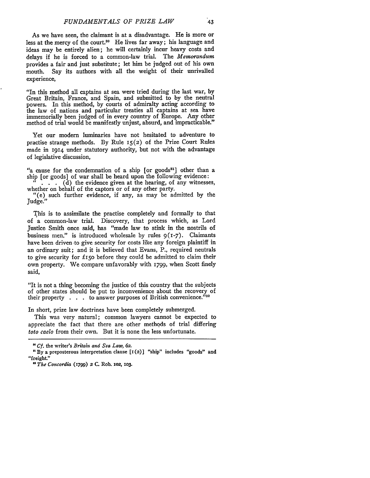As we have seen, the claimant is at a disadvantage. He is more or less at the mercy of the court.<sup>30</sup> He lives far away; his language and ideas may be entirely alien; he will certainly incur heavy costs and delays if he is forced to a common-law trial. The *Memorandum* provides a fair and just substitute; let him be judged out of his own mouth. Say its authors with all the weight of their unrivalled experience,

"In this method all captains at sea were tried during the last war, by Great Britain, France, and Spain, and submitted to by the neutral powers. In this method, by courts of admiralty acting according to the law of nations and particular treaties all captains at sea have immemorially been judged of in every country of Europe. Any other method of trial would be manifestly unjust, absurd, and impracticable."

Yet our modem luminaries have not hesitated to adventure to practise strange methods. By Rule **15(2)** of the Prize Court Rules made in 1914 under statutory authority, but not with the advantage of legislative discussion,

"a cause for the condemnation of a ship [or goods $^{81}$ ] other than a ship [or goods] of war shall be heard upon the following evidence:  $\vec{a}$  .  $\vec{b}$  (d) the evidence given at the hearing, of any witnesses,

whether on behalf of the captors or of any other party.

"(e) such further evidence, if any, as may be admitted by the Judge.'

This is to assimilate the practise completely and formally to that of a common-law trial. Discovery, that process which, as Lord Justice Smith once said, has "made law to stink in the nostrils of business men," is introduced wholesale by rules  $9(1-7)$ . Claimants have been driven-to give security for costs like any foreign plaintiff in an ordinary suit; and it is believed that Evans, P., required neutrals to give security for  $f150$  before they could be admitted to claim their own property. We compare unfavorably with 1799, when Scott finely said,

"It is not a thing becoming the justice of this country that the subjects of other states should be put to inconvenience about the recovery of their property **. .** . to answer purposes of British convenience."<sup>32</sup>

In short, prize law doctrines have been completely submerged.

This was very natural; common lawyers cannot be expected to appreciate the fact that there are other methods of trial differing *toto caelo* from their own. But it is none the less unfortunate.

*<sup>&</sup>quot;Cf.* the writer's *Britain* **and** *Sea Law,* **62.**

<sup>&</sup>quot; **By** a preposterous interpretation clause [1 **(2)]** "ship" includes "goods" and "freight."

*<sup>&</sup>quot; The Concordia (1799)* **2 C.** Rob. io, **io3.**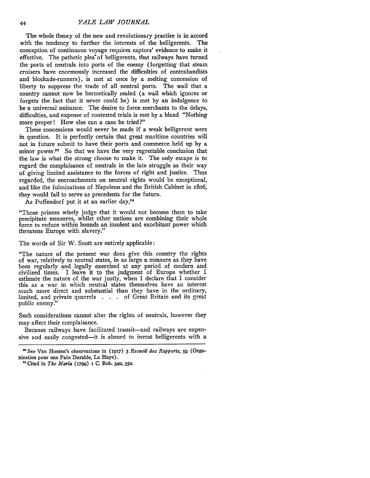The whole theory of the new and revolutionary practise is in accord with the tendency to further the interests of the belligerents. The conception of continuous voyage requires captors' evidence to make it effective. The pathetic plea of belligerents, that railways have turned the ports of neutrals into ports of the enemy (forgetting that steam cruisers have enormously increased the difficulties of contrabandists and blockade-runners), is met at once by a melting concession of liberty to suppress the trade of all neutral ports. The wail that a country cannot now be hermetically sealed (a wail which ignores or forgets the fact that it never could be) is met by an indulgence to be a universal nuisance. The desire to force merchants to the delays, difficulties, and expense of contested trials is met by a bland "Nothing more proper! How else can a case be tried?"

These concessions would never be made if a weak belligerent were in question. It is perfectly certain that great maritime countries will not in future submit to have their ports and commerce held up by a minor power.<sup>33</sup> So that we have the very regrettable conclusion that the law is what the strong choose to make it. The only escape is to regard the complaisance of neutrals in the late struggle as their way of giving limited assistance to the forces of right and justice. Thus regarded, the encroachments on neutral rights would be exceptional, and like the fulminations of Napoleon and the British Cabinet in 18o6, they would fail to serve as precedents for the future.

As Puffendorf put it at an earlier day,<sup>34</sup>

"Those princes wisely judge that it would not become them to take precipitate measures, whilst other nations are combining their whole force to reduce within bounds an insolent and exorbitant power which threatens Europe with slavery."

The words of Sir W. Scott are entirely applicable:

"The nature of the present war does give this country the rights of war, relatively to neutral states, in as large a measure as they have been regularly and legally exercised at any period of modern and civilized times. I leave it to the judgment of Europe whether I estimate the nature of the war justly, when I declare that I consider this as a war in which neutral states themselves have an interest much more direct and substantial than they have in the ordinary, limited, and private quarrels . . . of Great Britain and its great public enemy.'

Such considerations cannot alter the rights of neutrals, however they may affect their complaisance.

Because railways have facilitated transit-and railways are expensive and easily congested-it is absurd to invest belligerents with a

**<sup>&</sup>quot;** See Van Houten's observations in **(1917)** 3 *Recueil des Rapports, 59* (Organization pour une Paix Durable, La Haye).

**<sup>&#</sup>x27;** Cited in *The Maria (1799)* 1 **C.** Rob. **340, 352.**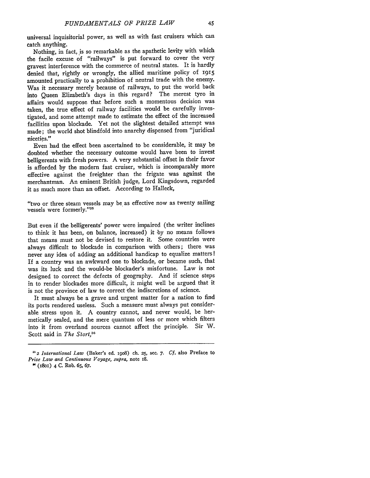universal inquisitorial power, as well as with fast cruisers which can catch anything.

Nothing, in fact, is so remarkable as the apathetic levity with which the facile excuse of "railways" is put forward to cover the very gravest interference with the commerce of neutral states. It is hardly denied that, rightly or wrongly, the allied maritime policy of **<sup>1915</sup>** amounted practically to a prohibition of neutral trade with the enemy. Was it necessary merely because of railways, to put the world back into Queen Elizabeth's days in this regard? The merest tyro in affairs would suppose that before such a momentous decision was taken, the true effect of railway facilities would be carefully investigated, and some attempt made to estimate the effect of the increased facilities upon blockade. Yet not the slightest detailed attempt was made; the world shot blindfold into anarchy dispensed from "juridical niceties."

Even had the effect been ascertained to be considerable, it may be doubted whether the necessary outcome would have been to invest belligerents with fresh powers. A very substantial offset in their favor is afforded by the modern fast cruiser, which is incomparably more effective against the freighter than the frigate was against the merchantman. An eminent British judge, Lord Kingsdown, regarded it as much more than an offset. According to Halleck,

"two or three steam vessels may be as effective now as twenty sailing vessels were formerly."35

But even if the belligerents' power were impaired (the writer inclines to think it has been, on balance, increased) it 'by no means follows that means must not be devised to restore it. Some countries were always difficult to blockade in comparison with others; there was never any idea of adding an additional handicap to equalize matters! If a country was an awkward one to blockade, or became such, that was its luck and the would-be blockader's misfortune. Law is not designed to correct the defects of geography. And if science steps in to render blockades more difficult, it might well be argued that it is not the province of law to correct the indiscretions of science.

It must always be a grave and urgent matter for a nation to find its ports rendered useless. Such a measure must always put considerable stress upon it. **A** country cannot, and never would, be hermetically sealed, and the mere quantum of less or more which filters into it from overland sources cannot affect the principle. Sir W. Scott said in *The Stort*,<sup>36</sup>

*<sup>32</sup> International Law* (Baker's ed. **igo8)** ch. **25,** sec. *7. Cf.* also Preface to *Prize Law and Continuous Voyage, supra,* note **x8.**

N **(So)** 4 **C.** Rob. **65, 67.**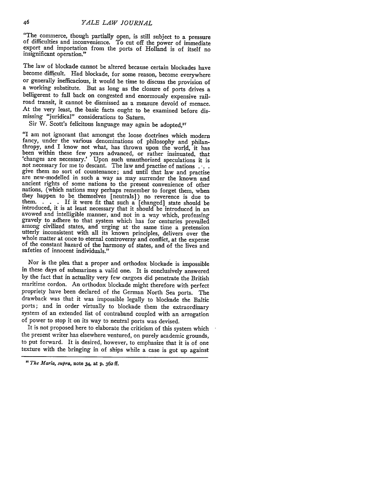"The commerce, though partially open, is still subject to a pressure of difficulties and inconvenience. To cut off the power of immediate export and importation from the ports of Holland is of itself no insignificant operation."

The law of blockade cannot be altered because certain blockades have become difficult. Had blockade, for some reason, become everywhere or generally inefficacious, it would be time to discuss the provision of a working substitute. But as long as the closure of ports drives a belligerent to fall back on congested and enormously expensive railroad transit, it cannot be dismissed as a measure devoid of menace. At the very least, the basic facts ought to be examined before dismissing "juridical" considerations to Saturn.

Sir W. Scott's felicitous language may again be adopted,<sup>37</sup>

"I am not ignorant that amongst the loose doctrines which modern thropy, and I know not what, has thrown upon the world, it has been within these few years advanced, or rather insinuated, that 'changes are necessary.' Upon such unauthorized speculations it is not necessary for me to descant. The law and practise of nations  $\ldots$  give them no sort of countenance; and until that law and practise give them no sort of countenance; and until that law and practise are new-modelled in such a way as may surrender the known and ancient rights of some nations to the present convenience of other nations, (which nations may perhaps remember to forget them, when they happen to be themselves [neutrals]) no reverence is due to them. . . . If it were fit that such a [changed] state should be introduced, it is at least necessary that it should be introduced in an avowed and intelligible manner, and not in a way which, professing gravely to adhere to that system which has for centuries prevailed among civilized states, and urging at the same time a pretension utterly inconsistent with all its known principles, delivers over the whole matter at once to eternal controversy and conflict, at the expense of the constant hazard of the harmony of states, and of the lives and safeties of innocent individuals."

Nor is the plea that a proper and orthodox blockade is impossible in these days of submarines a valid one. It is conclusively answered by the fact that in actuality very few cargoes did penetrate the British propriety have been declared of the German North Sea ports. The drawback was that it was impossible legally to blockade the Baltic ports; and in order virtually to blockade them the extraordinary system of an extended list of contraband coupled with an arrogation of power to stop it on its way to neutral ports was devised.

It is not proposed here to elaborate the criticism of this system which the present writer has elsewhere ventured, on purely academic grounds, to put forward. It is desired, however, to emphasize that it is of one texture with the bringing in of ships while a case is got up against

*<sup>&</sup>quot;The Maria, supra,* note *34,* at **p. 362 ff.**